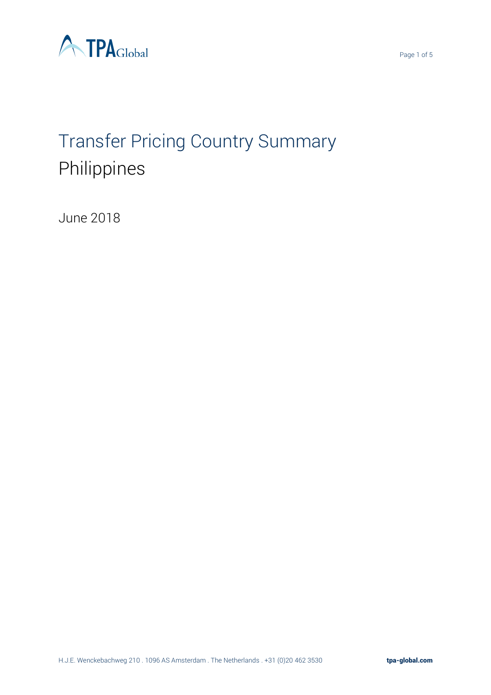

# Transfer Pricing Country Summary Philippines

June 2018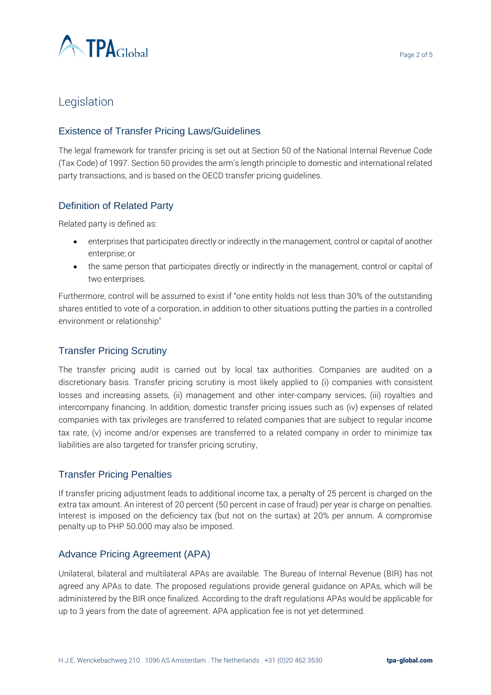

## Legislation

#### Existence of Transfer Pricing Laws/Guidelines

The legal framework for transfer pricing is set out at Section 50 of the National Internal Revenue Code (Tax Code) of 1997. Section 50 provides the arm's length principle to domestic and international related party transactions, and is based on the OECD transfer pricing guidelines.

#### Definition of Related Party

Related party is defined as:

- enterprises that participates directly or indirectly in the management, control or capital of another enterprise; or
- the same person that participates directly or indirectly in the management, control or capital of two enterprises.

Furthermore, control will be assumed to exist if "one entity holds not less than 30% of the outstanding shares entitled to vote of a corporation, in addition to other situations putting the parties in a controlled environment or relationship"

#### Transfer Pricing Scrutiny

The transfer pricing audit is carried out by local tax authorities. Companies are audited on a discretionary basis. Transfer pricing scrutiny is most likely applied to (i) companies with consistent losses and increasing assets, (ii) management and other inter-company services, (iii) royalties and intercompany financing. In addition, domestic transfer pricing issues such as (iv) expenses of related companies with tax privileges are transferred to related companies that are subject to regular income tax rate, (v) income and/or expenses are transferred to a related company in order to minimize tax liabilities are also targeted for transfer pricing scrutiny,

#### Transfer Pricing Penalties

If transfer pricing adjustment leads to additional income tax, a penalty of 25 percent is charged on the extra tax amount. An interest of 20 percent (50 percent in case of fraud) per year is charge on penalties. Interest is imposed on the deficiency tax (but not on the surtax) at 20% per annum. A compromise penalty up to PHP 50.000 may also be imposed.

#### Advance Pricing Agreement (APA)

Unilateral, bilateral and multilateral APAs are available. The Bureau of Internal Revenue (BIR) has not agreed any APAs to date. The proposed regulations provide general guidance on APAs, which will be administered by the BIR once finalized. According to the draft regulations APAs would be applicable for up to 3 years from the date of agreement. APA application fee is not yet determined.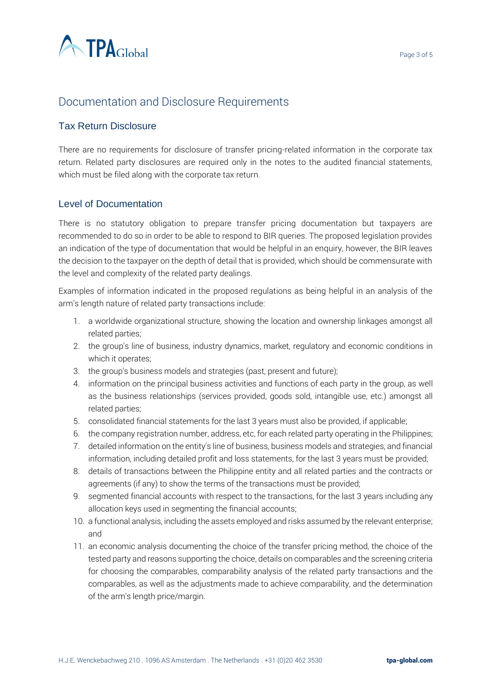

## Documentation and Disclosure Requirements

#### Tax Return Disclosure

There are no requirements for disclosure of transfer pricing-related information in the corporate tax return. Related party disclosures are required only in the notes to the audited financial statements, which must be filed along with the corporate tax return.

#### Level of Documentation

There is no statutory obligation to prepare transfer pricing documentation but taxpayers are recommended to do so in order to be able to respond to BIR queries. The proposed legislation provides an indication of the type of documentation that would be helpful in an enquiry, however, the BIR leaves the decision to the taxpayer on the depth of detail that is provided, which should be commensurate with the level and complexity of the related party dealings.

Examples of information indicated in the proposed regulations as being helpful in an analysis of the arm's length nature of related party transactions include:

- 1. a worldwide organizational structure, showing the location and ownership linkages amongst all related parties;
- 2. the group's line of business, industry dynamics, market, regulatory and economic conditions in which it operates;
- 3. the group's business models and strategies (past, present and future);
- 4. information on the principal business activities and functions of each party in the group, as well as the business relationships (services provided, goods sold, intangible use, etc.) amongst all related parties;
- 5. consolidated financial statements for the last 3 years must also be provided, if applicable;
- 6. the company registration number, address, etc, for each related party operating in the Philippines;
- 7. detailed information on the entity's line of business, business models and strategies, and financial information, including detailed profit and loss statements, for the last 3 years must be provided;
- 8. details of transactions between the Philippine entity and all related parties and the contracts or agreements (if any) to show the terms of the transactions must be provided;
- 9. segmented financial accounts with respect to the transactions, for the last 3 years including any allocation keys used in segmenting the financial accounts;
- 10. a functional analysis, including the assets employed and risks assumed by the relevant enterprise; and
- 11. an economic analysis documenting the choice of the transfer pricing method, the choice of the tested party and reasons supporting the choice, details on comparables and the screening criteria for choosing the comparables, comparability analysis of the related party transactions and the comparables, as well as the adjustments made to achieve comparability, and the determination of the arm's length price/margin.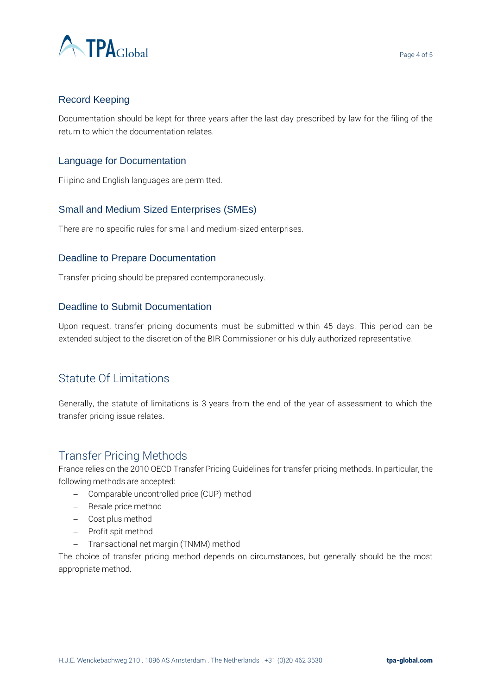

#### Record Keeping

Documentation should be kept for three years after the last day prescribed by law for the filing of the return to which the documentation relates.

#### Language for Documentation

Filipino and English languages are permitted.

#### Small and Medium Sized Enterprises (SMEs)

There are no specific rules for small and medium-sized enterprises.

#### Deadline to Prepare Documentation

Transfer pricing should be prepared contemporaneously.

#### Deadline to Submit Documentation

Upon request, transfer pricing documents must be submitted within 45 days. This period can be extended subject to the discretion of the BIR Commissioner or his duly authorized representative.

## Statute Of Limitations

Generally, the statute of limitations is 3 years from the end of the year of assessment to which the transfer pricing issue relates.

### Transfer Pricing Methods

France relies on the 2010 OECD Transfer Pricing Guidelines for transfer pricing methods. In particular, the following methods are accepted:

- − Comparable uncontrolled price (CUP) method
- − Resale price method
- − Cost plus method
- − Profit spit method
- − Transactional net margin (TNMM) method

The choice of transfer pricing method depends on circumstances, but generally should be the most appropriate method.